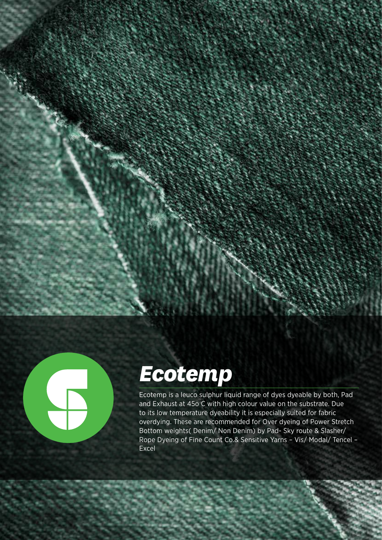



# *Ecotemp*

Ecotemp is a leuco sulphur liquid range of dyes dyeable by both, Pad and Exhaust at 45o C with high colour value on the substrate. Due to its low temperature dyeability it is especially suited for fabric overdying. These are recommended for Over dyeing of Power Stretch Bottom weights( Denim/ Non Denim) by Pad- Sky route & Slasher/ Rope Dyeing of Fine Count Co.& Sensitive Yarns – Vis/ Modal/ Tencel – Excel